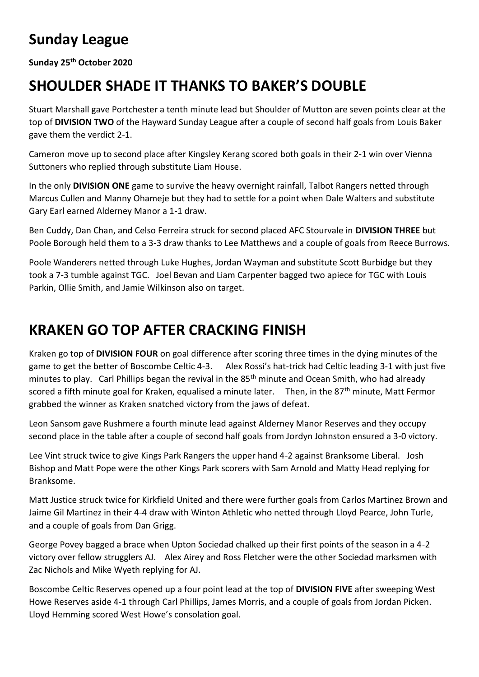## **Sunday League**

**Sunday 25th October 2020**

## **SHOULDER SHADE IT THANKS TO BAKER'S DOUBLE**

Stuart Marshall gave Portchester a tenth minute lead but Shoulder of Mutton are seven points clear at the top of **DIVISION TWO** of the Hayward Sunday League after a couple of second half goals from Louis Baker gave them the verdict 2-1.

Cameron move up to second place after Kingsley Kerang scored both goals in their 2-1 win over Vienna Suttoners who replied through substitute Liam House.

In the only **DIVISION ONE** game to survive the heavy overnight rainfall, Talbot Rangers netted through Marcus Cullen and Manny Ohameje but they had to settle for a point when Dale Walters and substitute Gary Earl earned Alderney Manor a 1-1 draw.

Ben Cuddy, Dan Chan, and Celso Ferreira struck for second placed AFC Stourvale in **DIVISION THREE** but Poole Borough held them to a 3-3 draw thanks to Lee Matthews and a couple of goals from Reece Burrows.

Poole Wanderers netted through Luke Hughes, Jordan Wayman and substitute Scott Burbidge but they took a 7-3 tumble against TGC. Joel Bevan and Liam Carpenter bagged two apiece for TGC with Louis Parkin, Ollie Smith, and Jamie Wilkinson also on target.

## **KRAKEN GO TOP AFTER CRACKING FINISH**

Kraken go top of **DIVISION FOUR** on goal difference after scoring three times in the dying minutes of the game to get the better of Boscombe Celtic 4-3. Alex Rossi's hat-trick had Celtic leading 3-1 with just five minutes to play. Carl Phillips began the revival in the 85<sup>th</sup> minute and Ocean Smith, who had already scored a fifth minute goal for Kraken, equalised a minute later. Then, in the 87<sup>th</sup> minute, Matt Fermor grabbed the winner as Kraken snatched victory from the jaws of defeat.

Leon Sansom gave Rushmere a fourth minute lead against Alderney Manor Reserves and they occupy second place in the table after a couple of second half goals from Jordyn Johnston ensured a 3-0 victory.

Lee Vint struck twice to give Kings Park Rangers the upper hand 4-2 against Branksome Liberal. Josh Bishop and Matt Pope were the other Kings Park scorers with Sam Arnold and Matty Head replying for Branksome.

Matt Justice struck twice for Kirkfield United and there were further goals from Carlos Martinez Brown and Jaime Gil Martinez in their 4-4 draw with Winton Athletic who netted through Lloyd Pearce, John Turle, and a couple of goals from Dan Grigg.

George Povey bagged a brace when Upton Sociedad chalked up their first points of the season in a 4-2 victory over fellow strugglers AJ. Alex Airey and Ross Fletcher were the other Sociedad marksmen with Zac Nichols and Mike Wyeth replying for AJ.

Boscombe Celtic Reserves opened up a four point lead at the top of **DIVISION FIVE** after sweeping West Howe Reserves aside 4-1 through Carl Phillips, James Morris, and a couple of goals from Jordan Picken. Lloyd Hemming scored West Howe's consolation goal.